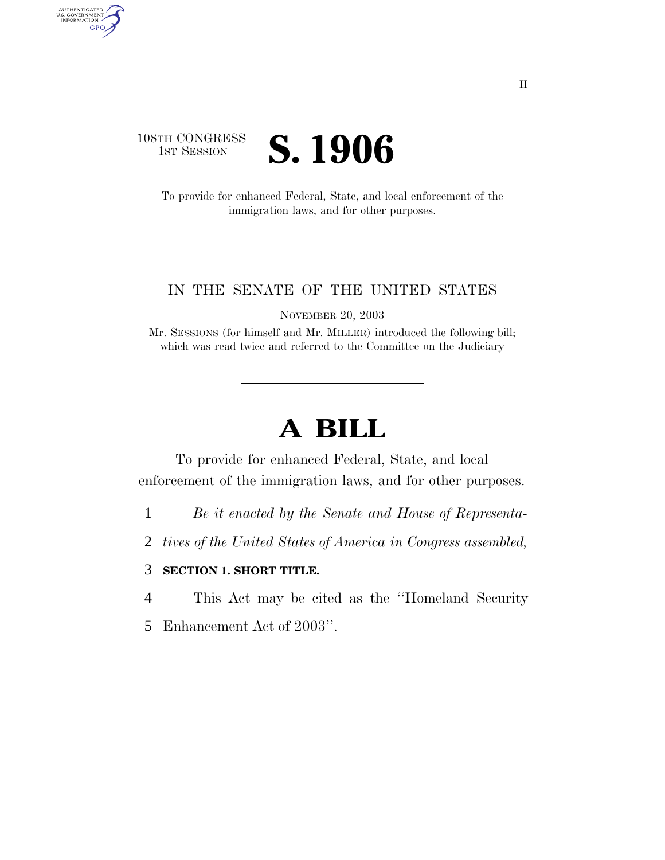### 108TH CONGRESS TH CONGRESS **S. 1906**

AUTHENTICATED<br>U.S. GOVERNMENT<br>INFORMATION GPO

> To provide for enhanced Federal, State, and local enforcement of the immigration laws, and for other purposes.

#### IN THE SENATE OF THE UNITED STATES

NOVEMBER 20, 2003

Mr. SESSIONS (for himself and Mr. MILLER) introduced the following bill; which was read twice and referred to the Committee on the Judiciary

## **A BILL**

To provide for enhanced Federal, State, and local enforcement of the immigration laws, and for other purposes.

1 *Be it enacted by the Senate and House of Representa-*

2 *tives of the United States of America in Congress assembled,* 

#### 3 **SECTION 1. SHORT TITLE.**

4 This Act may be cited as the ''Homeland Security

5 Enhancement Act of 2003''.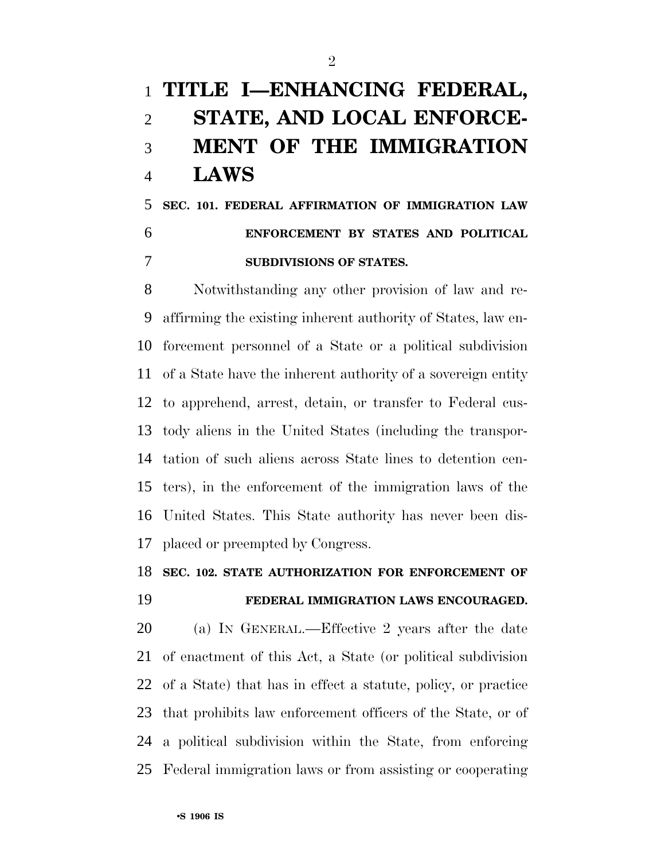# **TITLE I—ENHANCING FEDERAL, STATE, AND LOCAL ENFORCE- MENT OF THE IMMIGRATION LAWS**

 **SEC. 101. FEDERAL AFFIRMATION OF IMMIGRATION LAW ENFORCEMENT BY STATES AND POLITICAL SUBDIVISIONS OF STATES.** 

 Notwithstanding any other provision of law and re- affirming the existing inherent authority of States, law en- forcement personnel of a State or a political subdivision of a State have the inherent authority of a sovereign entity to apprehend, arrest, detain, or transfer to Federal cus- tody aliens in the United States (including the transpor- tation of such aliens across State lines to detention cen- ters), in the enforcement of the immigration laws of the United States. This State authority has never been dis-placed or preempted by Congress.

#### **SEC. 102. STATE AUTHORIZATION FOR ENFORCEMENT OF**

#### **FEDERAL IMMIGRATION LAWS ENCOURAGED.**

 (a) IN GENERAL.—Effective 2 years after the date of enactment of this Act, a State (or political subdivision of a State) that has in effect a statute, policy, or practice that prohibits law enforcement officers of the State, or of a political subdivision within the State, from enforcing Federal immigration laws or from assisting or cooperating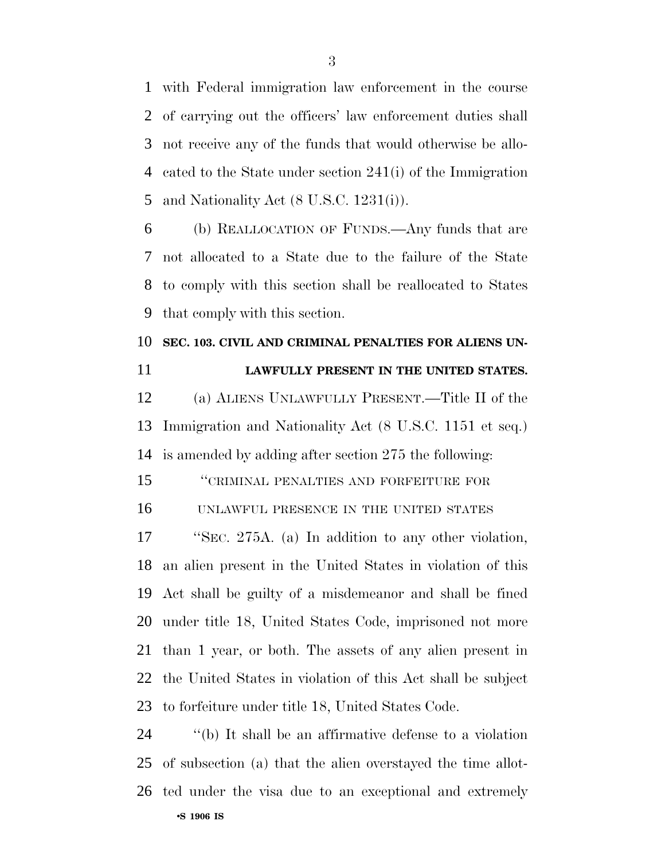with Federal immigration law enforcement in the course of carrying out the officers' law enforcement duties shall not receive any of the funds that would otherwise be allo- cated to the State under section 241(i) of the Immigration and Nationality Act (8 U.S.C. 1231(i)).

 (b) REALLOCATION OF FUNDS.—Any funds that are not allocated to a State due to the failure of the State to comply with this section shall be reallocated to States that comply with this section.

### **SEC. 103. CIVIL AND CRIMINAL PENALTIES FOR ALIENS UN-LAWFULLY PRESENT IN THE UNITED STATES.**

 (a) ALIENS UNLAWFULLY PRESENT.—Title II of the Immigration and Nationality Act (8 U.S.C. 1151 et seq.) is amended by adding after section 275 the following:

''CRIMINAL PENALTIES AND FORFEITURE FOR

UNLAWFUL PRESENCE IN THE UNITED STATES

 ''SEC. 275A. (a) In addition to any other violation, an alien present in the United States in violation of this Act shall be guilty of a misdemeanor and shall be fined under title 18, United States Code, imprisoned not more than 1 year, or both. The assets of any alien present in the United States in violation of this Act shall be subject to forfeiture under title 18, United States Code.

•**S 1906 IS**  ''(b) It shall be an affirmative defense to a violation of subsection (a) that the alien overstayed the time allot-ted under the visa due to an exceptional and extremely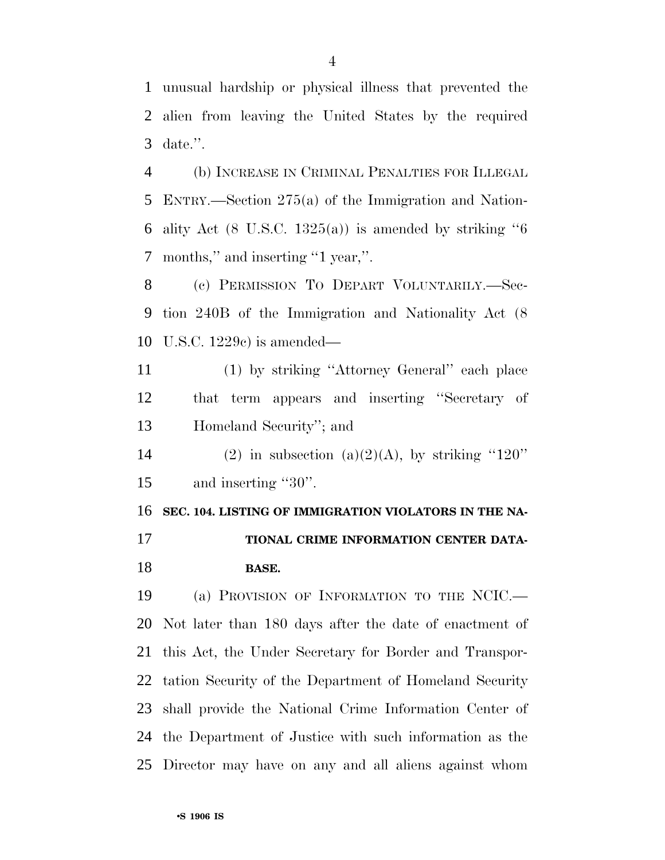unusual hardship or physical illness that prevented the alien from leaving the United States by the required date.''.

 (b) INCREASE IN CRIMINAL PENALTIES FOR ILLEGAL ENTRY.—Section 275(a) of the Immigration and Nation-6 ality Act (8 U.S.C. 1325(a)) is amended by striking "months,'' and inserting ''1 year,''.

 (c) PERMISSION TO DEPART VOLUNTARILY.—Sec- tion 240B of the Immigration and Nationality Act (8 U.S.C. 1229c) is amended—

 (1) by striking ''Attorney General'' each place that term appears and inserting ''Secretary of Homeland Security''; and

14 (2) in subsection (a)(2)(A), by striking "120" 15 and inserting "30".

 **SEC. 104. LISTING OF IMMIGRATION VIOLATORS IN THE NA- TIONAL CRIME INFORMATION CENTER DATA-BASE.** 

 (a) PROVISION OF INFORMATION TO THE NCIC.— Not later than 180 days after the date of enactment of this Act, the Under Secretary for Border and Transpor- tation Security of the Department of Homeland Security shall provide the National Crime Information Center of the Department of Justice with such information as the Director may have on any and all aliens against whom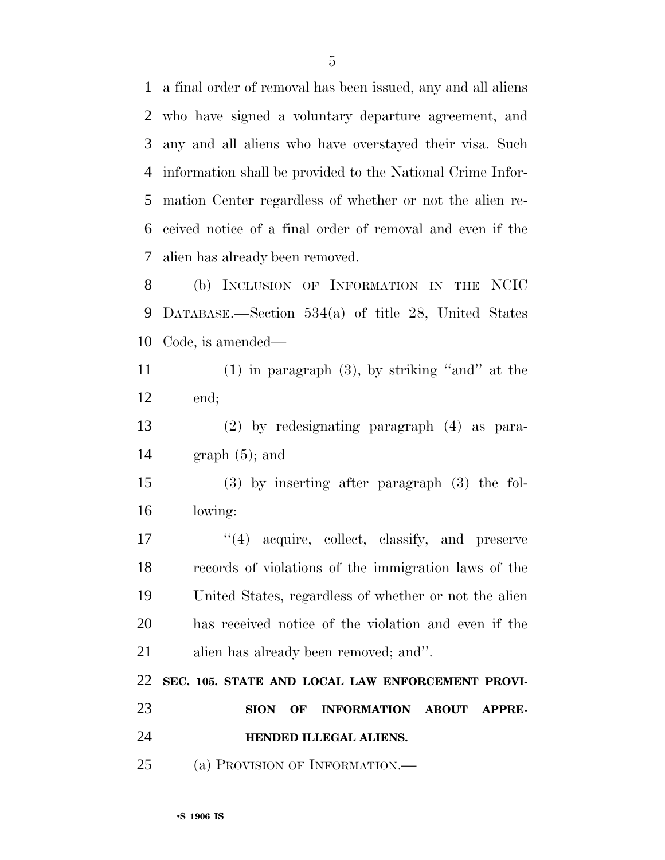a final order of removal has been issued, any and all aliens who have signed a voluntary departure agreement, and any and all aliens who have overstayed their visa. Such information shall be provided to the National Crime Infor- mation Center regardless of whether or not the alien re- ceived notice of a final order of removal and even if the alien has already been removed.

 (b) INCLUSION OF INFORMATION IN THE NCIC DATABASE.—Section 534(a) of title 28, United States Code, is amended—

 (1) in paragraph (3), by striking ''and'' at the end;

 (2) by redesignating paragraph (4) as para-graph (5); and

 (3) by inserting after paragraph (3) the fol-lowing:

 $\frac{1}{4}$  acquire, collect, classify, and preserve records of violations of the immigration laws of the United States, regardless of whether or not the alien has received notice of the violation and even if the alien has already been removed; and''.

 **SEC. 105. STATE AND LOCAL LAW ENFORCEMENT PROVI-SION OF INFORMATION ABOUT APPRE-**

**HENDED ILLEGAL ALIENS.** 

(a) PROVISION OF INFORMATION.—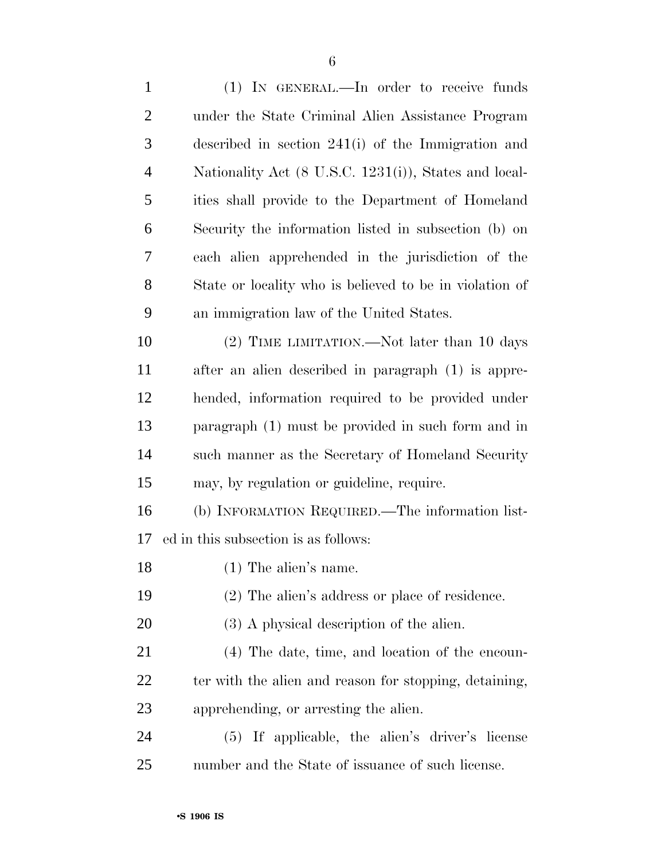(1) IN GENERAL.—In order to receive funds under the State Criminal Alien Assistance Program described in section 241(i) of the Immigration and Nationality Act (8 U.S.C. 1231(i)), States and local- ities shall provide to the Department of Homeland Security the information listed in subsection (b) on each alien apprehended in the jurisdiction of the State or locality who is believed to be in violation of an immigration law of the United States. (2) TIME LIMITATION.—Not later than 10 days after an alien described in paragraph (1) is appre- hended, information required to be provided under paragraph (1) must be provided in such form and in such manner as the Secretary of Homeland Security may, by regulation or guideline, require. (b) INFORMATION REQUIRED.—The information list- ed in this subsection is as follows: (1) The alien's name. (2) The alien's address or place of residence. 20 (3) A physical description of the alien. (4) The date, time, and location of the encoun-22 ter with the alien and reason for stopping, detaining, apprehending, or arresting the alien. (5) If applicable, the alien's driver's license number and the State of issuance of such license.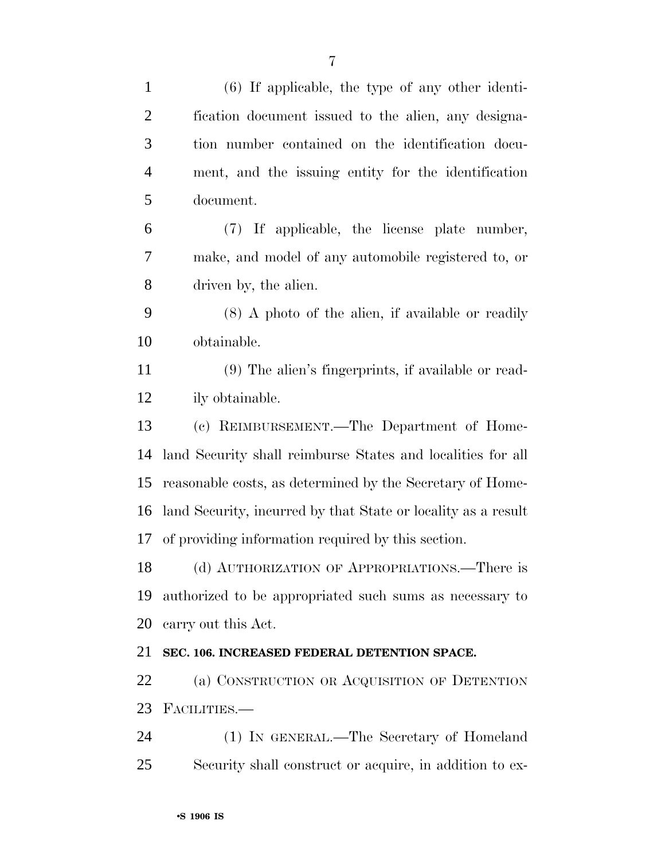| $\mathbf{1}$   | $(6)$ If applicable, the type of any other identi-            |
|----------------|---------------------------------------------------------------|
| $\overline{2}$ | fication document issued to the alien, any designa-           |
| 3              | tion number contained on the identification docu-             |
| $\overline{4}$ | ment, and the issuing entity for the identification           |
| 5              | document.                                                     |
| 6              | (7) If applicable, the license plate number,                  |
| 7              | make, and model of any automobile registered to, or           |
| 8              | driven by, the alien.                                         |
| 9              | $(8)$ A photo of the alien, if available or readily           |
| 10             | obtainable.                                                   |
| 11             | (9) The alien's fingerprints, if available or read-           |
| 12             | ily obtainable.                                               |
| 13             | (c) REIMBURSEMENT.—The Department of Home-                    |
| 14             | land Security shall reimburse States and localities for all   |
| 15             | reasonable costs, as determined by the Secretary of Home-     |
| 16             | land Security, incurred by that State or locality as a result |
| 17             | of providing information required by this section.            |
| 18             | (d) AUTHORIZATION OF APPROPRIATIONS.—There is                 |
| 19             | authorized to be appropriated such sums as necessary to       |
| 20             | carry out this Act.                                           |
| 21             | SEC. 106. INCREASED FEDERAL DETENTION SPACE.                  |
| 22             | (a) CONSTRUCTION OR ACQUISITION OF DETENTION                  |
| 23             | FACILITIES.                                                   |
| 24             | (1) IN GENERAL.—The Secretary of Homeland                     |
| 25             | Security shall construct or acquire, in addition to ex-       |
|                |                                                               |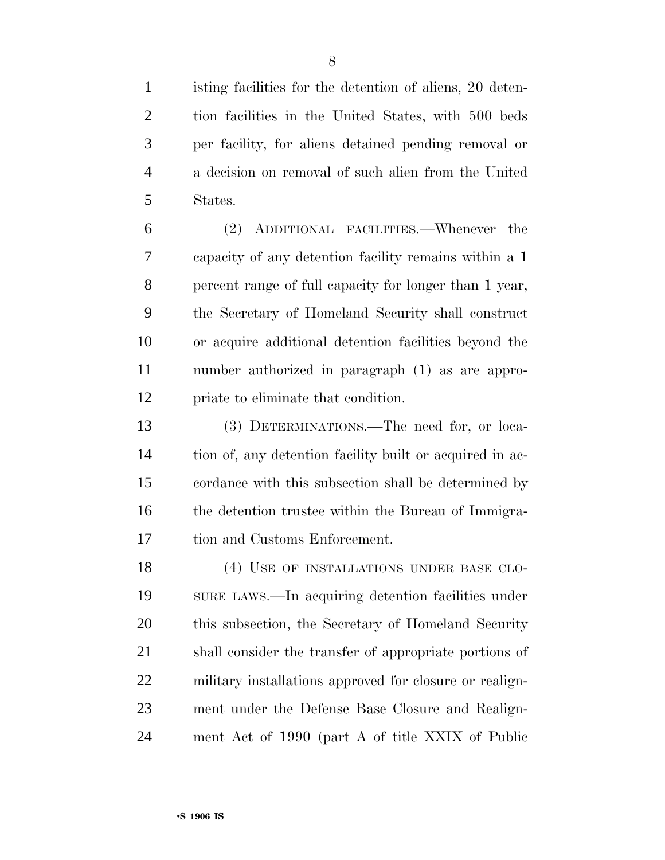isting facilities for the detention of aliens, 20 deten- tion facilities in the United States, with 500 beds per facility, for aliens detained pending removal or a decision on removal of such alien from the United States.

 (2) ADDITIONAL FACILITIES.—Whenever the capacity of any detention facility remains within a 1 percent range of full capacity for longer than 1 year, the Secretary of Homeland Security shall construct or acquire additional detention facilities beyond the number authorized in paragraph (1) as are appro-priate to eliminate that condition.

 (3) DETERMINATIONS.—The need for, or loca- tion of, any detention facility built or acquired in ac- cordance with this subsection shall be determined by 16 the detention trustee within the Bureau of Immigra-tion and Customs Enforcement.

18 (4) USE OF INSTALLATIONS UNDER BASE CLO- SURE LAWS.—In acquiring detention facilities under this subsection, the Secretary of Homeland Security shall consider the transfer of appropriate portions of military installations approved for closure or realign- ment under the Defense Base Closure and Realign-ment Act of 1990 (part A of title XXIX of Public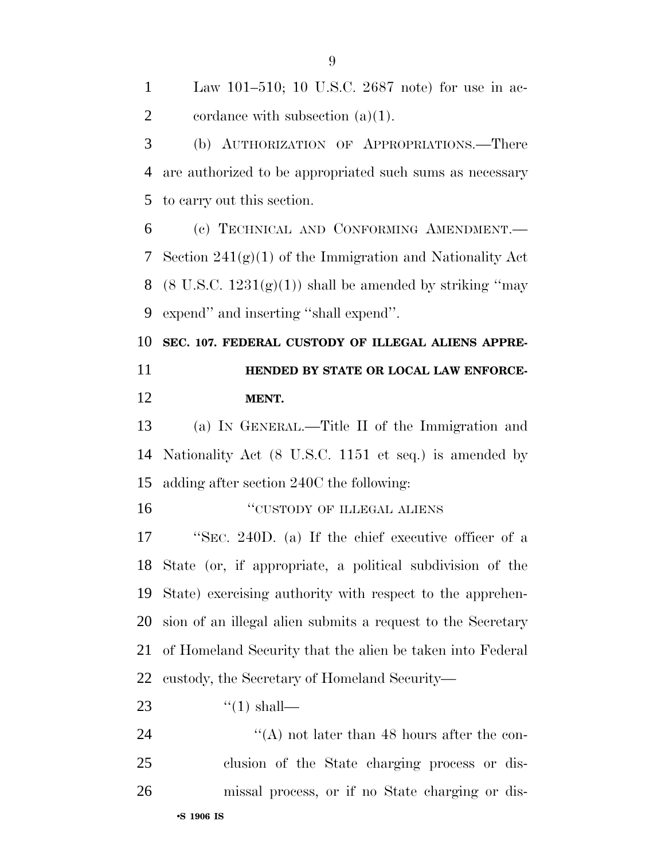Law 101–510; 10 U.S.C. 2687 note) for use in ac-2 cordance with subsection  $(a)(1)$ . (b) AUTHORIZATION OF APPROPRIATIONS.—There are authorized to be appropriated such sums as necessary to carry out this section. (c) TECHNICAL AND CONFORMING AMENDMENT.— 7 Section  $241(g)(1)$  of the Immigration and Nationality Act 8 (8 U.S.C.  $1231(g)(1)$ ) shall be amended by striking "may expend'' and inserting ''shall expend''. **SEC. 107. FEDERAL CUSTODY OF ILLEGAL ALIENS APPRE- HENDED BY STATE OR LOCAL LAW ENFORCE- MENT.**  (a) IN GENERAL.—Title II of the Immigration and Nationality Act (8 U.S.C. 1151 et seq.) is amended by adding after section 240C the following: **CUSTODY OF ILLEGAL ALIENS**  ''SEC. 240D. (a) If the chief executive officer of a State (or, if appropriate, a political subdivision of the State) exercising authority with respect to the apprehen- sion of an illegal alien submits a request to the Secretary of Homeland Security that the alien be taken into Federal custody, the Secretary of Homeland Security—  $\frac{4}{1}$  shall— 24 ''(A) not later than 48 hours after the con- clusion of the State charging process or dis-missal process, or if no State charging or dis-

#### •**S 1906 IS**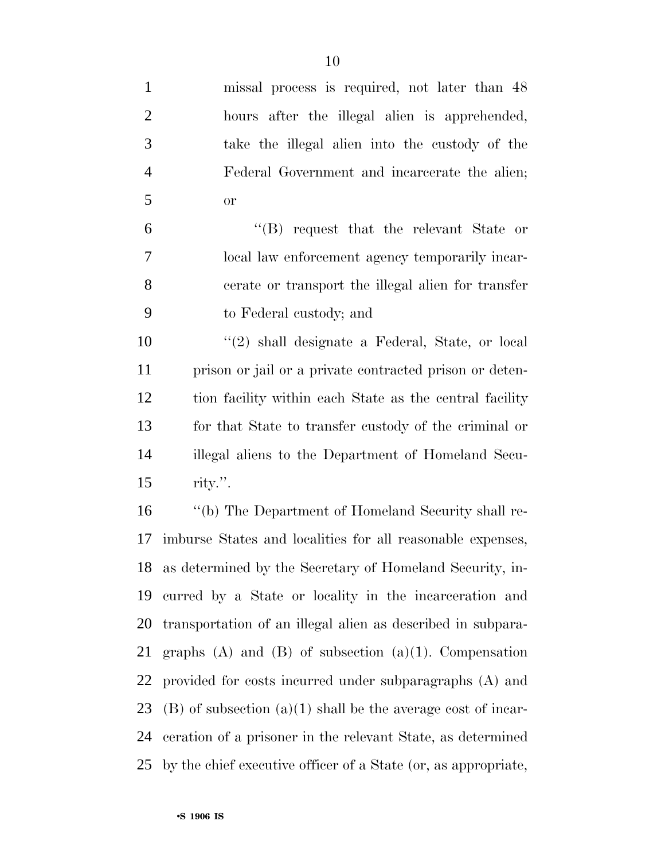| $\mathbf{1}$   | missal process is required, not later than 48                    |
|----------------|------------------------------------------------------------------|
| $\overline{2}$ | hours after the illegal alien is apprehended,                    |
| 3              | take the illegal alien into the custody of the                   |
| $\overline{4}$ | Federal Government and incarcerate the alien;                    |
| 5              | <b>or</b>                                                        |
| 6              | $\lq\lq$ request that the relevant State or                      |
| 7              | local law enforcement agency temporarily incar-                  |
| 8              | cerate or transport the illegal alien for transfer               |
| 9              | to Federal custody; and                                          |
| 10             | $\lq(2)$ shall designate a Federal, State, or local              |
| 11             | prison or jail or a private contracted prison or deten-          |
| 12             | tion facility within each State as the central facility          |
| 13             | for that State to transfer custody of the criminal or            |
| 14             | illegal aliens to the Department of Homeland Secu-               |
| 15             | rity.".                                                          |
| 16             | "(b) The Department of Homeland Security shall re-               |
| 17             | imburse States and localities for all reasonable expenses,       |
|                | 18 as determined by the Secretary of Homeland Security, in-      |
| 19             | curred by a State or locality in the incarceration and           |
| 20             | transportation of an illegal alien as described in subpara-      |
| 21             | graphs $(A)$ and $(B)$ of subsection $(a)(1)$ . Compensation     |
| 22             | provided for costs incurred under subparagraphs (A) and          |
| 23             | $(B)$ of subsection $(a)(1)$ shall be the average cost of incar- |
| 24             | ceration of a prisoner in the relevant State, as determined      |
| 25             | by the chief executive officer of a State (or, as appropriate,   |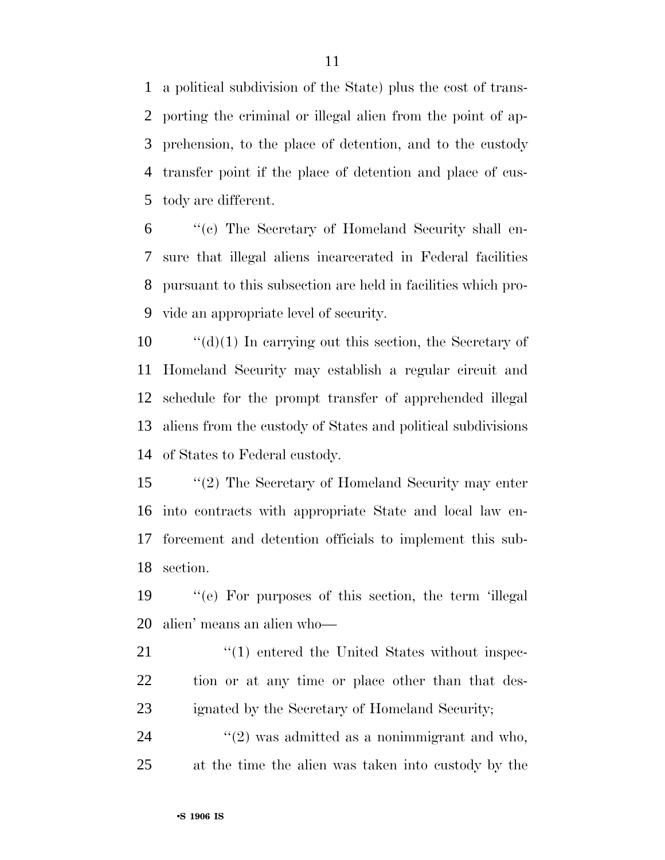a political subdivision of the State) plus the cost of trans- porting the criminal or illegal alien from the point of ap- prehension, to the place of detention, and to the custody transfer point if the place of detention and place of cus-tody are different.

 ''(c) The Secretary of Homeland Security shall en- sure that illegal aliens incarcerated in Federal facilities pursuant to this subsection are held in facilities which pro-vide an appropriate level of security.

 ''(d)(1) In carrying out this section, the Secretary of Homeland Security may establish a regular circuit and schedule for the prompt transfer of apprehended illegal aliens from the custody of States and political subdivisions of States to Federal custody.

 ''(2) The Secretary of Homeland Security may enter into contracts with appropriate State and local law en- forcement and detention officials to implement this sub-section.

 ''(e) For purposes of this section, the term 'illegal alien' means an alien who—

21 ''(1) entered the United States without inspec-22 tion or at any time or place other than that des-ignated by the Secretary of Homeland Security;

 ''(2) was admitted as a nonimmigrant and who, at the time the alien was taken into custody by the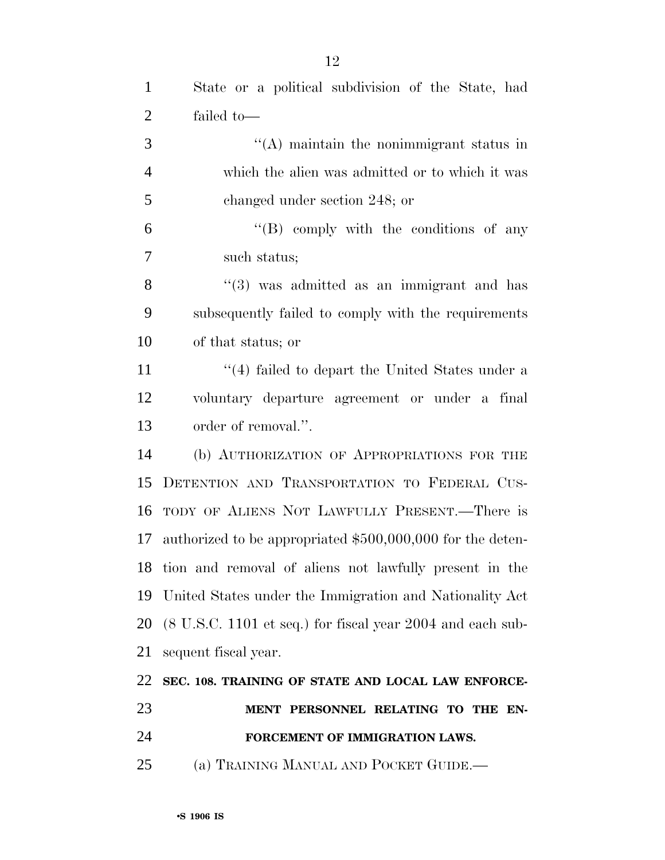| $\mathbf{1}$   | State or a political subdivision of the State, had                            |
|----------------|-------------------------------------------------------------------------------|
| $\overline{2}$ | failed to-                                                                    |
| 3              | $\lq\lq$ maintain the nonimmigrant status in                                  |
| $\overline{4}$ | which the alien was admitted or to which it was                               |
| 5              | changed under section 248; or                                                 |
| 6              | $\lq\lq(B)$ comply with the conditions of any                                 |
| $\tau$         | such status;                                                                  |
| 8              | $\cdot\cdot$ (3) was admitted as an immigrant and has                         |
| 9              | subsequently failed to comply with the requirements                           |
| 10             | of that status; or                                                            |
| 11             | $\cdot$ (4) failed to depart the United States under a                        |
| 12             | voluntary departure agreement or under a final                                |
| 13             | order of removal.".                                                           |
| 14             | (b) AUTHORIZATION OF APPROPRIATIONS FOR THE                                   |
| 15             | DETENTION AND TRANSPORTATION TO FEDERAL CUS-                                  |
| 16             | TODY OF ALIENS NOT LAWFULLY PRESENT.—There is                                 |
| 17             | authorized to be appropriated \$500,000,000 for the deten-                    |
|                | 18 tion and removal of aliens not lawfully present in the                     |
| 19             | United States under the Immigration and Nationality Act                       |
| 20             | $(8 \text{ U.S.C. } 1101 \text{ et seq.})$ for fiscal year 2004 and each sub- |
| 21             | sequent fiscal year.                                                          |
| 22             | SEC. 108. TRAINING OF STATE AND LOCAL LAW ENFORCE-                            |
| 23             | MENT PERSONNEL RELATING TO THE EN-                                            |
| 24             | FORCEMENT OF IMMIGRATION LAWS.                                                |
| 25             | (a) TRAINING MANUAL AND POCKET GUIDE.—                                        |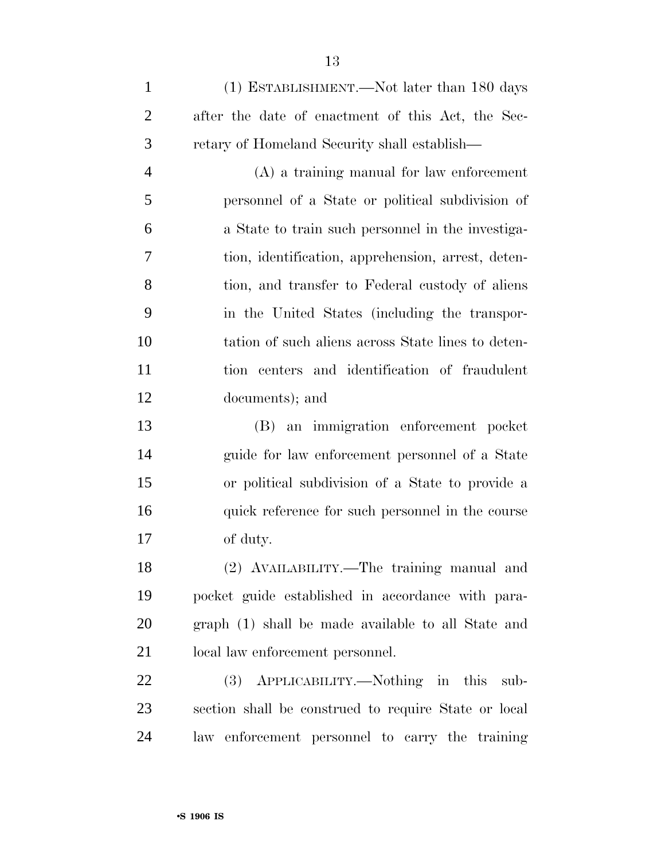(1) ESTABLISHMENT.—Not later than 180 days after the date of enactment of this Act, the Sec-retary of Homeland Security shall establish—

 (A) a training manual for law enforcement personnel of a State or political subdivision of a State to train such personnel in the investiga- tion, identification, apprehension, arrest, deten- tion, and transfer to Federal custody of aliens in the United States (including the transpor- tation of such aliens across State lines to deten- tion centers and identification of fraudulent documents); and

 (B) an immigration enforcement pocket guide for law enforcement personnel of a State or political subdivision of a State to provide a quick reference for such personnel in the course of duty.

 (2) AVAILABILITY.—The training manual and pocket guide established in accordance with para- graph (1) shall be made available to all State and local law enforcement personnel.

 (3) APPLICABILITY.—Nothing in this sub- section shall be construed to require State or local law enforcement personnel to carry the training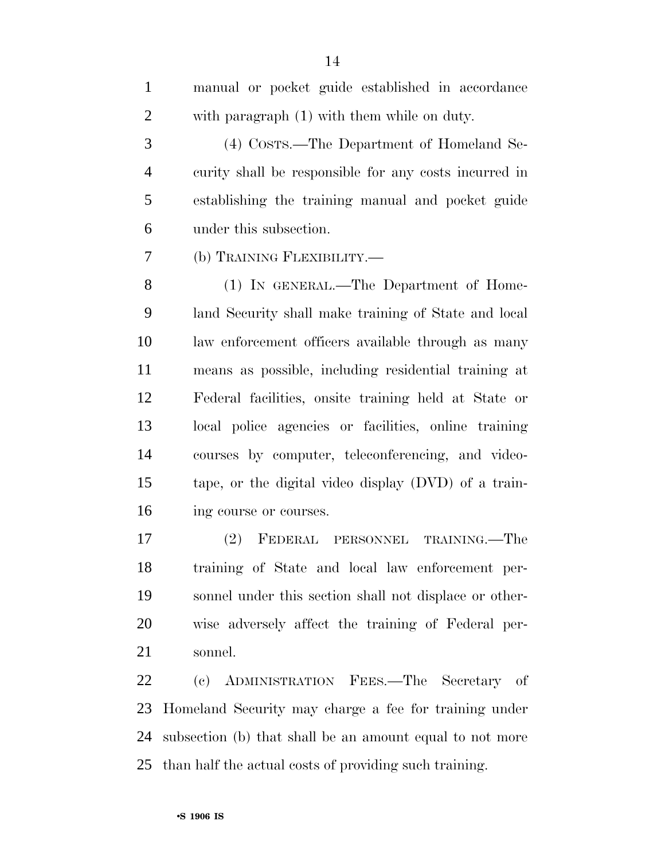| $\mathbf{1}$   | manual or pocket guide established in accordance      |
|----------------|-------------------------------------------------------|
| $\overline{2}$ | with paragraph (1) with them while on duty.           |
| 3              | (4) Costs.—The Department of Homeland Se-             |
| $\overline{4}$ | curity shall be responsible for any costs incurred in |
| 5              | establishing the training manual and pocket guide     |
| 6              | under this subsection.                                |
| $\overline{7}$ | (b) TRAINING FLEXIBILITY.—                            |
| 8              | (1) IN GENERAL.—The Department of Home-               |
| 9              | land Security shall make training of State and local  |
| 10             | law enforcement officers available through as many    |
| 11             | means as possible, including residential training at  |
| 12             | Federal facilities, onsite training held at State or  |
| 13             | local police agencies or facilities, online training  |
| 14             | courses by computer, teleconferencing, and video-     |
| 15             | tape, or the digital video display (DVD) of a train-  |
| 16             | ing course or courses.                                |

 (2) FEDERAL PERSONNEL TRAINING.—The training of State and local law enforcement per- sonnel under this section shall not displace or other- wise adversely affect the training of Federal per-sonnel.

 (c) ADMINISTRATION FEES.—The Secretary of Homeland Security may charge a fee for training under subsection (b) that shall be an amount equal to not more than half the actual costs of providing such training.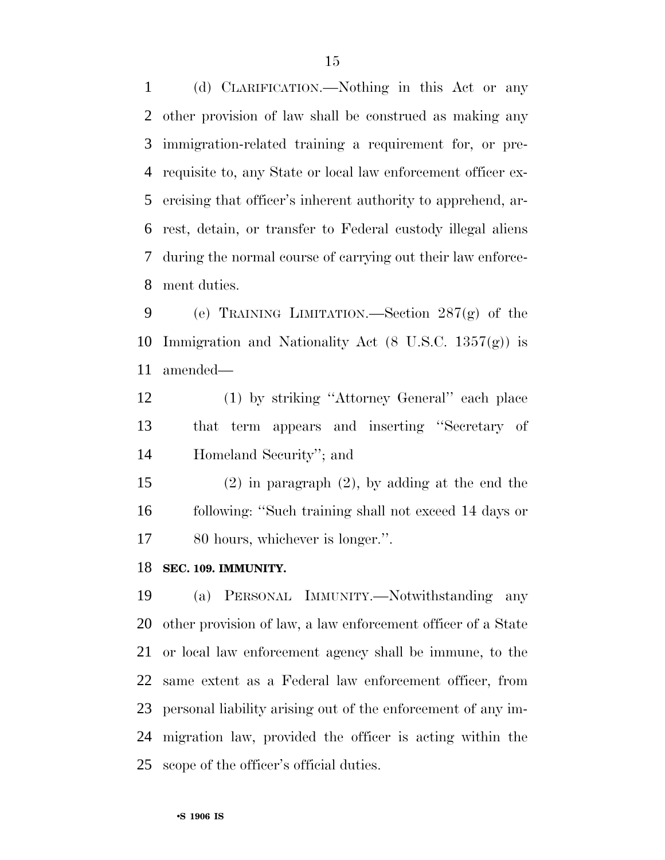(d) CLARIFICATION.—Nothing in this Act or any other provision of law shall be construed as making any immigration-related training a requirement for, or pre- requisite to, any State or local law enforcement officer ex- ercising that officer's inherent authority to apprehend, ar- rest, detain, or transfer to Federal custody illegal aliens during the normal course of carrying out their law enforce-ment duties.

 (e) TRAINING LIMITATION.—Section 287(g) of the 10 Immigration and Nationality Act  $(8 \text{ U.S.C. } 1357(g))$  is amended—

 (1) by striking ''Attorney General'' each place that term appears and inserting ''Secretary of Homeland Security''; and

 (2) in paragraph (2), by adding at the end the following: ''Such training shall not exceed 14 days or 80 hours, whichever is longer.''.

#### **SEC. 109. IMMUNITY.**

 (a) PERSONAL IMMUNITY.—Notwithstanding any other provision of law, a law enforcement officer of a State or local law enforcement agency shall be immune, to the same extent as a Federal law enforcement officer, from personal liability arising out of the enforcement of any im- migration law, provided the officer is acting within the scope of the officer's official duties.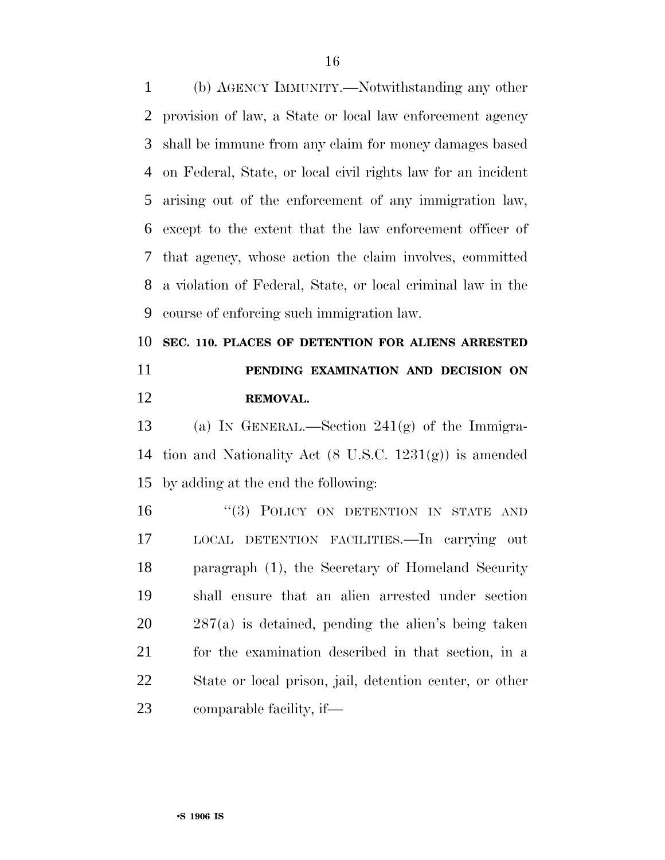(b) AGENCY IMMUNITY.—Notwithstanding any other provision of law, a State or local law enforcement agency shall be immune from any claim for money damages based on Federal, State, or local civil rights law for an incident arising out of the enforcement of any immigration law, except to the extent that the law enforcement officer of that agency, whose action the claim involves, committed a violation of Federal, State, or local criminal law in the course of enforcing such immigration law.

## **SEC. 110. PLACES OF DETENTION FOR ALIENS ARRESTED PENDING EXAMINATION AND DECISION ON REMOVAL.**

 (a) IN GENERAL.—Section 241(g) of the Immigra- tion and Nationality Act (8 U.S.C. 1231(g)) is amended by adding at the end the following:

16 "(3) POLICY ON DETENTION IN STATE AND LOCAL DETENTION FACILITIES.—In carrying out paragraph (1), the Secretary of Homeland Security shall ensure that an alien arrested under section 287(a) is detained, pending the alien's being taken for the examination described in that section, in a State or local prison, jail, detention center, or other comparable facility, if—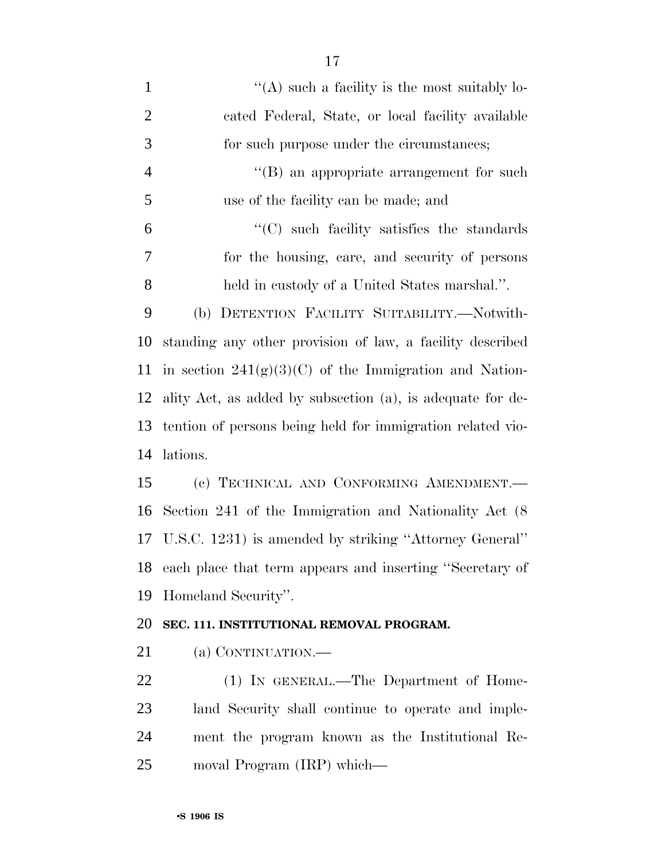| $\mathbf{1}$   | $\lq\lq$ such a facility is the most suitably lo-           |
|----------------|-------------------------------------------------------------|
| $\overline{2}$ | cated Federal, State, or local facility available           |
| 3              | for such purpose under the circumstances;                   |
| $\overline{4}$ | "(B) an appropriate arrangement for such                    |
| 5              | use of the facility can be made; and                        |
| 6              | $\lq\lq$ such facility satisfies the standards              |
| 7              | for the housing, care, and security of persons              |
| 8              | held in custody of a United States marshal.".               |
| 9              | (b) DETENTION FACILITY SUITABILITY.-Notwith-                |
| 10             | standing any other provision of law, a facility described   |
| 11             | in section $241(g)(3)(C)$ of the Immigration and Nation-    |
| 12             | ality Act, as added by subsection (a), is adequate for de-  |
| 13             | tention of persons being held for immigration related vio-  |
| 14             | lations.                                                    |
| 15             | (c) TECHNICAL AND CONFORMING AMENDMENT.                     |
| 16             | Section 241 of the Immigration and Nationality Act (8)      |
| 17             | U.S.C. 1231) is amended by striking "Attorney General"      |
|                | 18 each place that term appears and inserting "Secretary of |
| 19             | Homeland Security".                                         |
| 20             | SEC. 111. INSTITUTIONAL REMOVAL PROGRAM.                    |
| 21             | (a) CONTINUATION.                                           |
| 22             | (1) IN GENERAL.—The Department of Home-                     |
| 23             | land Security shall continue to operate and imple-          |
| 24             | ment the program known as the Institutional Re-             |
| 25             | moval Program (IRP) which—                                  |
|                |                                                             |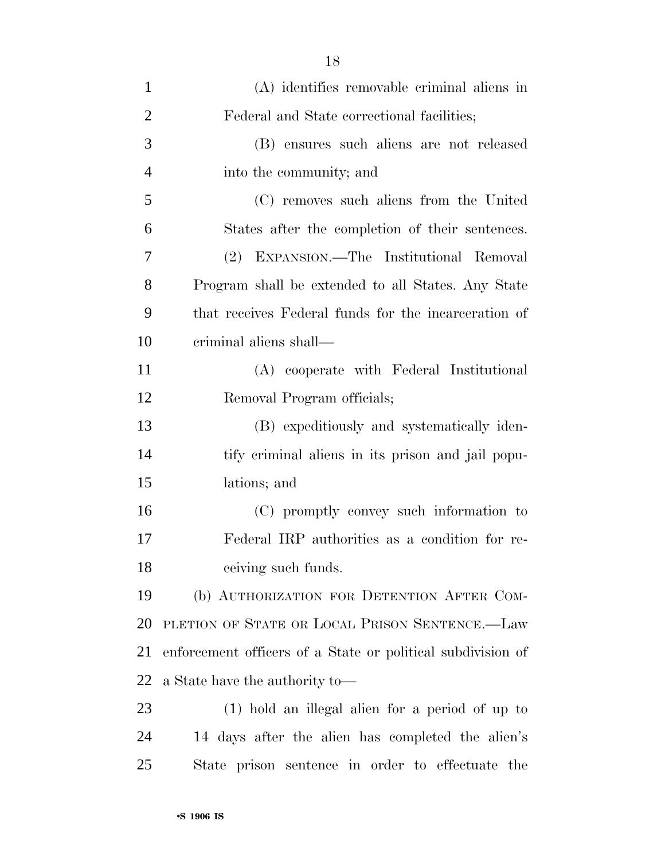| $\mathbf{1}$   | (A) identifies removable criminal aliens in                 |
|----------------|-------------------------------------------------------------|
| $\overline{2}$ | Federal and State correctional facilities;                  |
| 3              | (B) ensures such aliens are not released                    |
| $\overline{4}$ | into the community; and                                     |
| 5              | (C) removes such aliens from the United                     |
| 6              | States after the completion of their sentences.             |
| 7              | (2) EXPANSION.—The Institutional Removal                    |
| 8              | Program shall be extended to all States. Any State          |
| 9              | that receives Federal funds for the incarceration of        |
| 10             | criminal aliens shall—                                      |
| 11             | (A) cooperate with Federal Institutional                    |
| 12             | Removal Program officials;                                  |
| 13             | (B) expeditiously and systematically iden-                  |
| 14             | tify criminal aliens in its prison and jail popu-           |
| 15             | lations; and                                                |
| 16             | (C) promptly convey such information to                     |
| 17             | Federal IRP authorities as a condition for re-              |
| 18             | ceiving such funds.                                         |
| 19             | (b) AUTHORIZATION FOR DETENTION AFTER COM-                  |
| 20             | PLETION OF STATE OR LOCAL PRISON SENTENCE.-Law              |
| 21             | enforcement officers of a State or political subdivision of |
| 22             | a State have the authority to—                              |
| 23             | (1) hold an illegal alien for a period of up to             |
| 24             | 14 days after the alien has completed the alien's           |
| 25             | State prison sentence in order to effectuate the            |
|                |                                                             |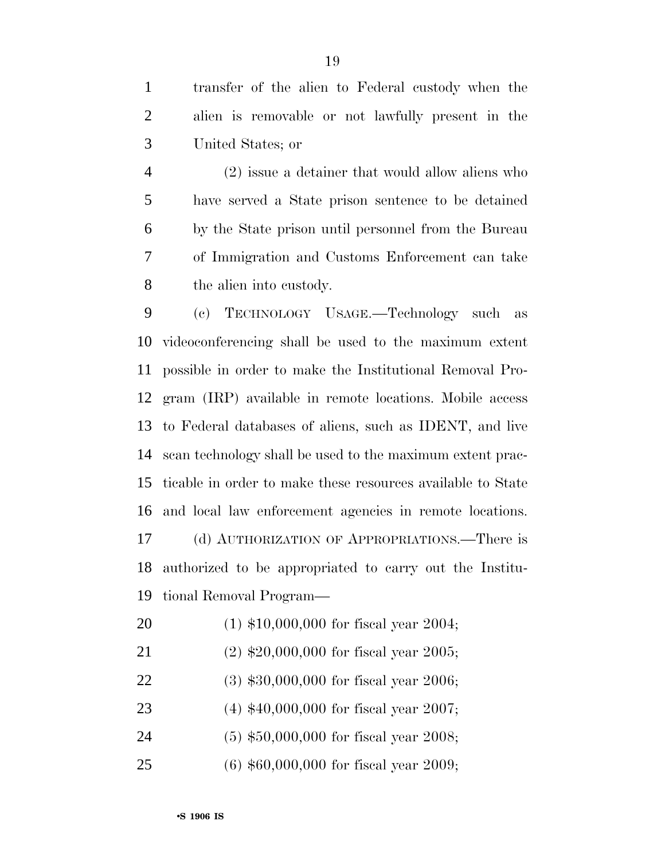transfer of the alien to Federal custody when the alien is removable or not lawfully present in the United States; or

 (2) issue a detainer that would allow aliens who have served a State prison sentence to be detained by the State prison until personnel from the Bureau of Immigration and Customs Enforcement can take the alien into custody.

 (c) TECHNOLOGY USAGE.—Technology such as videoconferencing shall be used to the maximum extent possible in order to make the Institutional Removal Pro- gram (IRP) available in remote locations. Mobile access to Federal databases of aliens, such as IDENT, and live scan technology shall be used to the maximum extent prac- ticable in order to make these resources available to State and local law enforcement agencies in remote locations. (d) AUTHORIZATION OF APPROPRIATIONS.—There is authorized to be appropriated to carry out the Institu-tional Removal Program—

- (1) \$10,000,000 for fiscal year 2004;
- (2) \$20,000,000 for fiscal year 2005;
- (3) \$30,000,000 for fiscal year 2006;
- (4) \$40,000,000 for fiscal year 2007;
- (5) \$50,000,000 for fiscal year 2008;
- (6) \$60,000,000 for fiscal year 2009;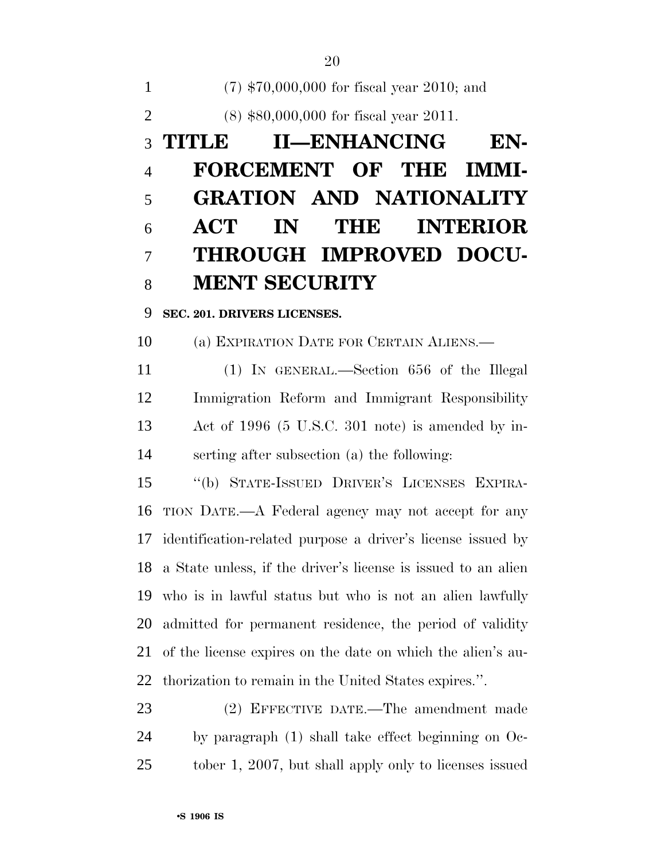(7) \$70,000,000 for fiscal year 2010; and (8) \$80,000,000 for fiscal year 2011. **TITLE II—ENHANCING EN- FORCEMENT OF THE IMMI- GRATION AND NATIONALITY ACT IN THE INTERIOR THROUGH IMPROVED DOCU-MENT SECURITY** 

**SEC. 201. DRIVERS LICENSES.** 

(a) EXPIRATION DATE FOR CERTAIN ALIENS.—

 (1) IN GENERAL.—Section 656 of the Illegal Immigration Reform and Immigrant Responsibility Act of 1996 (5 U.S.C. 301 note) is amended by in-serting after subsection (a) the following:

 ''(b) STATE-ISSUED DRIVER'S LICENSES EXPIRA- TION DATE.—A Federal agency may not accept for any identification-related purpose a driver's license issued by a State unless, if the driver's license is issued to an alien who is in lawful status but who is not an alien lawfully admitted for permanent residence, the period of validity of the license expires on the date on which the alien's au-thorization to remain in the United States expires.''.

 (2) EFFECTIVE DATE.—The amendment made by paragraph (1) shall take effect beginning on Oc-tober 1, 2007, but shall apply only to licenses issued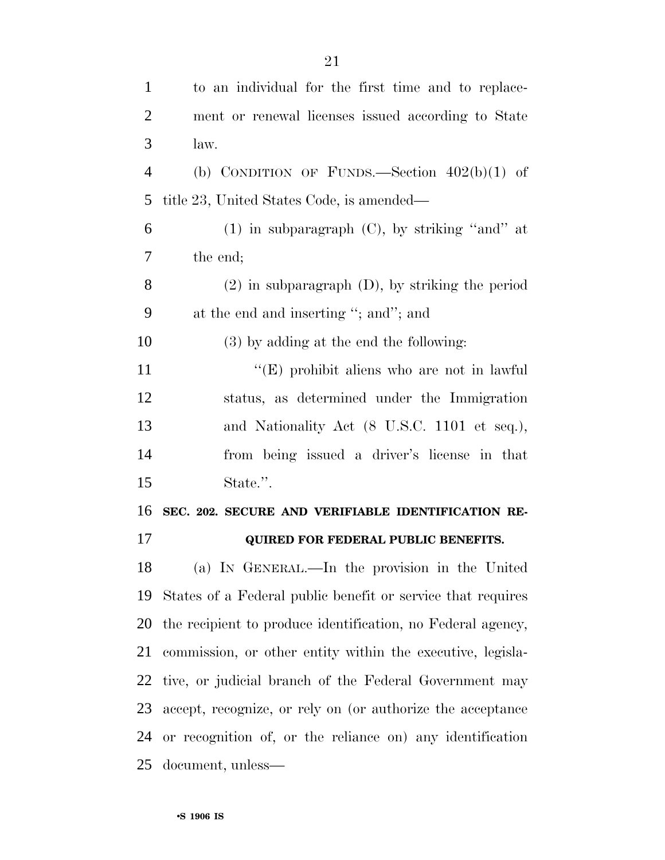| $\mathbf{1}$   | to an individual for the first time and to replace-         |
|----------------|-------------------------------------------------------------|
| $\overline{2}$ | ment or renewal licenses issued according to State          |
| 3              | law.                                                        |
| $\overline{4}$ | (b) CONDITION OF FUNDS.—Section $402(b)(1)$ of              |
| 5              | title 23, United States Code, is amended—                   |
| 6              | $(1)$ in subparagraph $(C)$ , by striking "and" at          |
| 7              | the end;                                                    |
| 8              | $(2)$ in subparagraph $(D)$ , by striking the period        |
| 9              | at the end and inserting "; and"; and                       |
| 10             | $(3)$ by adding at the end the following:                   |
| 11             | " $(E)$ prohibit aliens who are not in lawful               |
| 12             | status, as determined under the Immigration                 |
| 13             | and Nationality Act (8 U.S.C. 1101 et seq.),                |
| 14             | from being issued a driver's license in that                |
| 15             | State.".                                                    |
| 16             | SEC. 202. SECURE AND VERIFIABLE IDENTIFICATION RE-          |
| 17             | <b>QUIRED FOR FEDERAL PUBLIC BENEFITS.</b>                  |
| 18             | (a) IN GENERAL.—In the provision in the United              |
| 19             | States of a Federal public benefit or service that requires |
| 20             | the recipient to produce identification, no Federal agency, |
| 21             | commission, or other entity within the executive, legisla-  |
| 22             | tive, or judicial branch of the Federal Government may      |
| 23             | accept, recognize, or rely on (or authorize the acceptance  |
| 24             | or recognition of, or the reliance on) any identification   |
| 25             | document, unless—                                           |